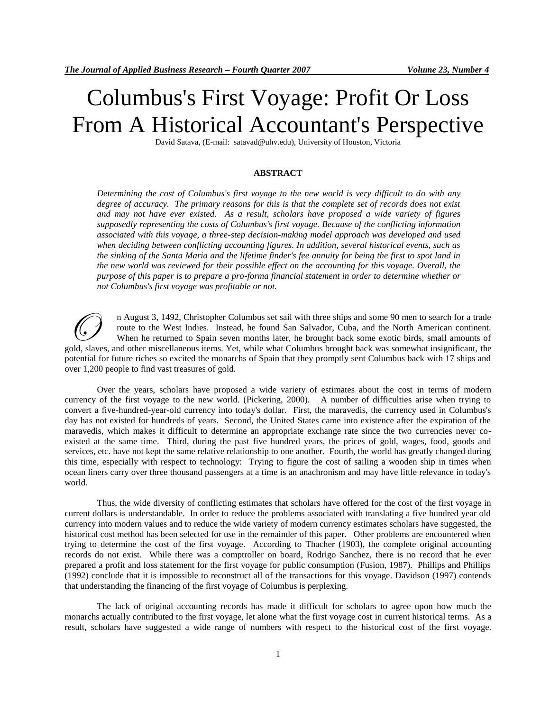# Columbus's First Voyage: Profit Or Loss From A Historical Accountant's Perspective

David Satava, (E-mail: satavad@uhv.edu), University of Houston, Victoria

## **ABSTRACT**

*Determining the cost of Columbus's first voyage to the new world is very difficult to do with any degree of accuracy. The primary reasons for this is that the complete set of records does not exist and may not have ever existed. As a result, scholars have proposed a wide variety of figures supposedly representing the costs of Columbus's first voyage. Because of the conflicting information associated with this voyage, a three-step decision-making model approach was developed and used when deciding between conflicting accounting figures. In addition, several historical events, such as the sinking of the Santa Maria and the lifetime finder's fee annuity for being the first to spot land in the new world was reviewed for their possible effect on the accounting for this voyage. Overall, the purpose of this paper is to prepare a pro-forma financial statement in order to determine whether or not Columbus's first voyage was profitable or not.* 

n August 3, 1492, Christopher Columbus set sail with three ships and some 90 men to search for a trade route to the West Indies. Instead, he found San Salvador, Cuba, and the North American continent. When he returned to Spain seven months later, he brought back some exotic birds, small amounts of gold, slaves, and other miscellaneous items. Yet, while what Columbus brought back was somewhat insignificant, the gold, slaves, and other miscellaneous items. Yet, while what Columbus brought back was somewhat insignifica potential for future riches so excited the monarchs of Spain that they promptly sent Columbus back with 17 ships and over 1,200 people to find vast treasures of gold.

Over the years, scholars have proposed a wide variety of estimates about the cost in terms of modern currency of the first voyage to the new world. (Pickering, 2000). A number of difficulties arise when trying to convert a five-hundred-year-old currency into today's dollar. First, the maravedis, the currency used in Columbus's day has not existed for hundreds of years. Second, the United States came into existence after the expiration of the maravedis, which makes it difficult to determine an appropriate exchange rate since the two currencies never coexisted at the same time. Third, during the past five hundred years, the prices of gold, wages, food, goods and services, etc. have not kept the same relative relationship to one another. Fourth, the world has greatly changed during this time, especially with respect to technology: Trying to figure the cost of sailing a wooden ship in times when ocean liners carry over three thousand passengers at a time is an anachronism and may have little relevance in today's world.

Thus, the wide diversity of conflicting estimates that scholars have offered for the cost of the first voyage in current dollars is understandable. In order to reduce the problems associated with translating a five hundred year old currency into modern values and to reduce the wide variety of modern currency estimates scholars have suggested, the historical cost method has been selected for use in the remainder of this paper. Other problems are encountered when trying to determine the cost of the first voyage. According to Thacher (1903), the complete original accounting records do not exist. While there was a comptroller on board, Rodrigo Sanchez, there is no record that he ever prepared a profit and loss statement for the first voyage for public consumption (Fusion, 1987). Phillips and Phillips (1992) conclude that it is impossible to reconstruct all of the transactions for this voyage. Davidson (1997) contends that understanding the financing of the first voyage of Columbus is perplexing.

The lack of original accounting records has made it difficult for scholars to agree upon how much the monarchs actually contributed to the first voyage, let alone what the first voyage cost in current historical terms. As a result, scholars have suggested a wide range of numbers with respect to the historical cost of the first voyage.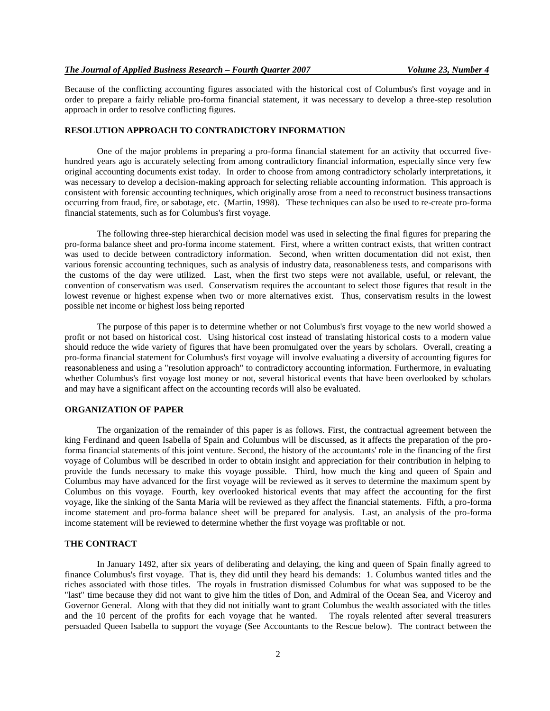Because of the conflicting accounting figures associated with the historical cost of Columbus's first voyage and in order to prepare a fairly reliable pro-forma financial statement, it was necessary to develop a three-step resolution approach in order to resolve conflicting figures.

## **RESOLUTION APPROACH TO CONTRADICTORY INFORMATION**

One of the major problems in preparing a pro-forma financial statement for an activity that occurred fivehundred years ago is accurately selecting from among contradictory financial information, especially since very few original accounting documents exist today. In order to choose from among contradictory scholarly interpretations, it was necessary to develop a decision-making approach for selecting reliable accounting information. This approach is consistent with forensic accounting techniques, which originally arose from a need to reconstruct business transactions occurring from fraud, fire, or sabotage, etc. (Martin, 1998). These techniques can also be used to re-create pro-forma financial statements, such as for Columbus's first voyage.

The following three-step hierarchical decision model was used in selecting the final figures for preparing the pro-forma balance sheet and pro-forma income statement. First, where a written contract exists, that written contract was used to decide between contradictory information. Second, when written documentation did not exist, then various forensic accounting techniques, such as analysis of industry data, reasonableness tests, and comparisons with the customs of the day were utilized. Last, when the first two steps were not available, useful, or relevant, the convention of conservatism was used. Conservatism requires the accountant to select those figures that result in the lowest revenue or highest expense when two or more alternatives exist. Thus, conservatism results in the lowest possible net income or highest loss being reported

The purpose of this paper is to determine whether or not Columbus's first voyage to the new world showed a profit or not based on historical cost. Using historical cost instead of translating historical costs to a modern value should reduce the wide variety of figures that have been promulgated over the years by scholars. Overall, creating a pro-forma financial statement for Columbus's first voyage will involve evaluating a diversity of accounting figures for reasonableness and using a "resolution approach" to contradictory accounting information. Furthermore, in evaluating whether Columbus's first voyage lost money or not, several historical events that have been overlooked by scholars and may have a significant affect on the accounting records will also be evaluated.

# **ORGANIZATION OF PAPER**

The organization of the remainder of this paper is as follows. First, the contractual agreement between the king Ferdinand and queen Isabella of Spain and Columbus will be discussed, as it affects the preparation of the proforma financial statements of this joint venture. Second, the history of the accountants' role in the financing of the first voyage of Columbus will be described in order to obtain insight and appreciation for their contribution in helping to provide the funds necessary to make this voyage possible. Third, how much the king and queen of Spain and Columbus may have advanced for the first voyage will be reviewed as it serves to determine the maximum spent by Columbus on this voyage. Fourth, key overlooked historical events that may affect the accounting for the first voyage, like the sinking of the Santa Maria will be reviewed as they affect the financial statements. Fifth, a pro-forma income statement and pro-forma balance sheet will be prepared for analysis. Last, an analysis of the pro-forma income statement will be reviewed to determine whether the first voyage was profitable or not.

# **THE CONTRACT**

In January 1492, after six years of deliberating and delaying, the king and queen of Spain finally agreed to finance Columbus's first voyage. That is, they did until they heard his demands: 1. Columbus wanted titles and the riches associated with those titles. The royals in frustration dismissed Columbus for what was supposed to be the "last" time because they did not want to give him the titles of Don, and Admiral of the Ocean Sea, and Viceroy and Governor General. Along with that they did not initially want to grant Columbus the wealth associated with the titles and the 10 percent of the profits for each voyage that he wanted. The royals relented after several treasurers persuaded Queen Isabella to support the voyage (See Accountants to the Rescue below). The contract between the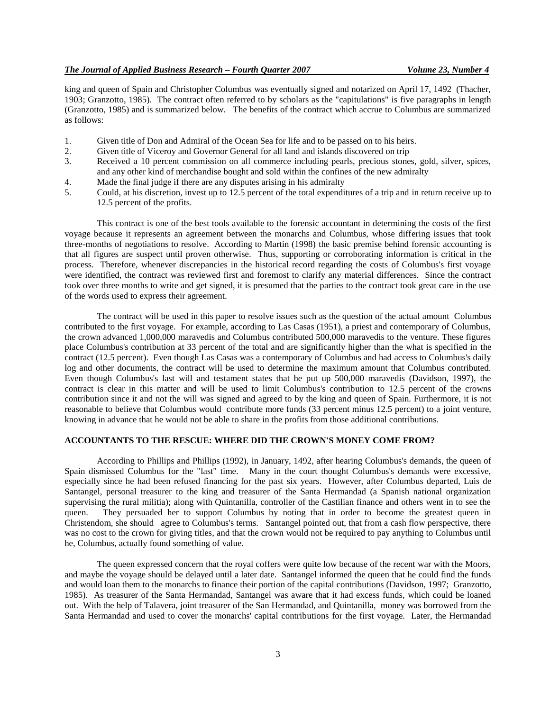king and queen of Spain and Christopher Columbus was eventually signed and notarized on April 17, 1492 (Thacher, 1903; Granzotto, 1985). The contract often referred to by scholars as the "capitulations" is five paragraphs in length (Granzotto, 1985) and is summarized below. The benefits of the contract which accrue to Columbus are summarized as follows:

- 1. Given title of Don and Admiral of the Ocean Sea for life and to be passed on to his heirs.
- 2. Given title of Viceroy and Governor General for all land and islands discovered on trip
- 3. Received a 10 percent commission on all commerce including pearls, precious stones, gold, silver, spices, and any other kind of merchandise bought and sold within the confines of the new admiralty
- 4. Made the final judge if there are any disputes arising in his admiralty
- 5. Could, at his discretion, invest up to 12.5 percent of the total expenditures of a trip and in return receive up to 12.5 percent of the profits.

This contract is one of the best tools available to the forensic accountant in determining the costs of the first voyage because it represents an agreement between the monarchs and Columbus, whose differing issues that took three-months of negotiations to resolve. According to Martin (1998) the basic premise behind forensic accounting is that all figures are suspect until proven otherwise. Thus, supporting or corroborating information is critical in the process. Therefore, whenever discrepancies in the historical record regarding the costs of Columbus's first voyage were identified, the contract was reviewed first and foremost to clarify any material differences. Since the contract took over three months to write and get signed, it is presumed that the parties to the contract took great care in the use of the words used to express their agreement.

The contract will be used in this paper to resolve issues such as the question of the actual amount Columbus contributed to the first voyage. For example, according to Las Casas (1951), a priest and contemporary of Columbus, the crown advanced 1,000,000 maravedis and Columbus contributed 500,000 maravedis to the venture. These figures place Columbus's contribution at 33 percent of the total and are significantly higher than the what is specified in the contract (12.5 percent). Even though Las Casas was a contemporary of Columbus and had access to Columbus's daily log and other documents, the contract will be used to determine the maximum amount that Columbus contributed. Even though Columbus's last will and testament states that he put up 500,000 maravedis (Davidson, 1997), the contract is clear in this matter and will be used to limit Columbus's contribution to 12.5 percent of the crowns contribution since it and not the will was signed and agreed to by the king and queen of Spain. Furthermore, it is not reasonable to believe that Columbus would contribute more funds (33 percent minus 12.5 percent) to a joint venture, knowing in advance that he would not be able to share in the profits from those additional contributions.

# **ACCOUNTANTS TO THE RESCUE: WHERE DID THE CROWN'S MONEY COME FROM?**

According to Phillips and Phillips (1992), in January, 1492, after hearing Columbus's demands, the queen of Spain dismissed Columbus for the "last" time. Many in the court thought Columbus's demands were excessive, especially since he had been refused financing for the past six years. However, after Columbus departed, Luis de Santangel, personal treasurer to the king and treasurer of the Santa Hermandad (a Spanish national organization supervising the rural militia); along with Quintanilla, controller of the Castilian finance and others went in to see the queen. They persuaded her to support Columbus by noting that in order to become the greatest queen in Christendom, she should agree to Columbus's terms. Santangel pointed out, that from a cash flow perspective, there was no cost to the crown for giving titles, and that the crown would not be required to pay anything to Columbus until he, Columbus, actually found something of value.

The queen expressed concern that the royal coffers were quite low because of the recent war with the Moors, and maybe the voyage should be delayed until a later date. Santangel informed the queen that he could find the funds and would loan them to the monarchs to finance their portion of the capital contributions (Davidson, 1997; Granzotto, 1985). As treasurer of the Santa Hermandad, Santangel was aware that it had excess funds, which could be loaned out. With the help of Talavera, joint treasurer of the San Hermandad, and Quintanilla, money was borrowed from the Santa Hermandad and used to cover the monarchs' capital contributions for the first voyage. Later, the Hermandad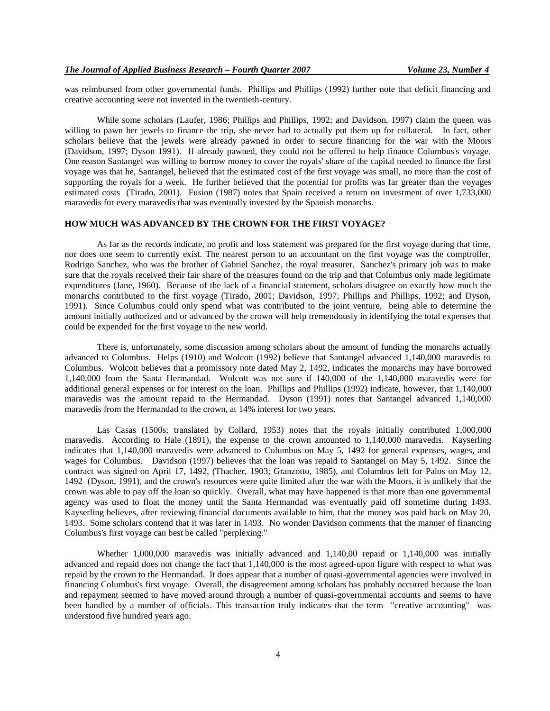was reimbursed from other governmental funds. Phillips and Phillips (1992) further note that deficit financing and creative accounting were not invented in the twentieth-century.

While some scholars (Laufer, 1986; Phillips and Phillips, 1992; and Davidson, 1997) claim the queen was willing to pawn her jewels to finance the trip, she never had to actually put them up for collateral. In fact, other scholars believe that the jewels were already pawned in order to secure financing for the war with the Moors (Davidson, 1997; Dyson 1991). If already pawned, they could not be offered to help finance Columbus's voyage. One reason Santangel was willing to borrow money to cover the royals' share of the capital needed to finance the first voyage was that he, Santangel, believed that the estimated cost of the first voyage was small, no more than the cost of supporting the royals for a week. He further believed that the potential for profits was far greater than the voyages estimated costs (Tirado, 2001). Fusion (1987) notes that Spain received a return on investment of over 1,733,000 maravedis for every maravedis that was eventually invested by the Spanish monarchs.

## **HOW MUCH WAS ADVANCED BY THE CROWN FOR THE FIRST VOYAGE?**

As far as the records indicate, no profit and loss statement was prepared for the first voyage during that time, nor does one seem to currently exist. The nearest person to an accountant on the first voyage was the comptroller, Rodrigo Sanchez, who was the brother of Gabriel Sanchez, the royal treasurer. Sanchez's primary job was to make sure that the royals received their fair share of the treasures found on the trip and that Columbus only made legitimate expenditures (Jane, 1960). Because of the lack of a financial statement, scholars disagree on exactly how much the monarchs contributed to the first voyage (Tirado, 2001; Davidson, 1997; Phillips and Phillips, 1992; and Dyson, 1991). Since Columbus could only spend what was contributed to the joint venture, being able to determine the amount initially authorized and or advanced by the crown will help tremendously in identifying the total expenses that could be expended for the first voyage to the new world.

There is, unfortunately, some discussion among scholars about the amount of funding the monarchs actually advanced to Columbus. Helps (1910) and Wolcott (1992) believe that Santangel advanced 1,140,000 maravedis to Columbus. Wolcott believes that a promissory note dated May 2, 1492, indicates the monarchs may have borrowed 1,140,000 from the Santa Hermandad. Wolcott was not sure if 140,000 of the 1,140,000 maravedis were for additional general expenses or for interest on the loan. Phillips and Phillips (1992) indicate, however, that 1,140,000 maravedis was the amount repaid to the Hermandad. Dyson (1991) notes that Santangel advanced 1,140,000 maravedis from the Hermandad to the crown, at 14% interest for two years.

Las Casas (1500s; translated by Collard, 1953) notes that the royals initially contributed 1,000,000 maravedis. According to Hale (1891), the expense to the crown amounted to 1,140,000 maravedis. Kayserling indicates that 1,140,000 maravedis were advanced to Columbus on May 5, 1492 for general expenses, wages, and wages for Columbus. Davidson (1997) believes that the loan was repaid to Santangel on May 5, 1492. Since the contract was signed on April 17, 1492, (Thacher, 1903; Granzotto, 1985), and Columbus left for Palos on May 12, 1492 (Dyson, 1991), and the crown's resources were quite limited after the war with the Moors, it is unlikely that the crown was able to pay off the loan so quickly. Overall, what may have happened is that more than one governmental agency was used to float the money until the Santa Hermandad was eventually paid off sometime during 1493. Kayserling believes, after reviewing financial documents available to him, that the money was paid back on May 20, 1493. Some scholars contend that it was later in 1493. No wonder Davidson comments that the manner of financing Columbus's first voyage can best be called "perplexing."

Whether 1,000,000 maravedis was initially advanced and 1,140,00 repaid or 1,140,000 was initially advanced and repaid does not change the fact that 1,140,000 is the most agreed-upon figure with respect to what was repaid by the crown to the Hermandad. It does appear that a number of quasi-governmental agencies were involved in financing Columbus's first voyage. Overall, the disagreement among scholars has probably occurred because the loan and repayment seemed to have moved around through a number of quasi-governmental accounts and seems to have been handled by a number of officials. This transaction truly indicates that the term "creative accounting" was understood five hundred years ago.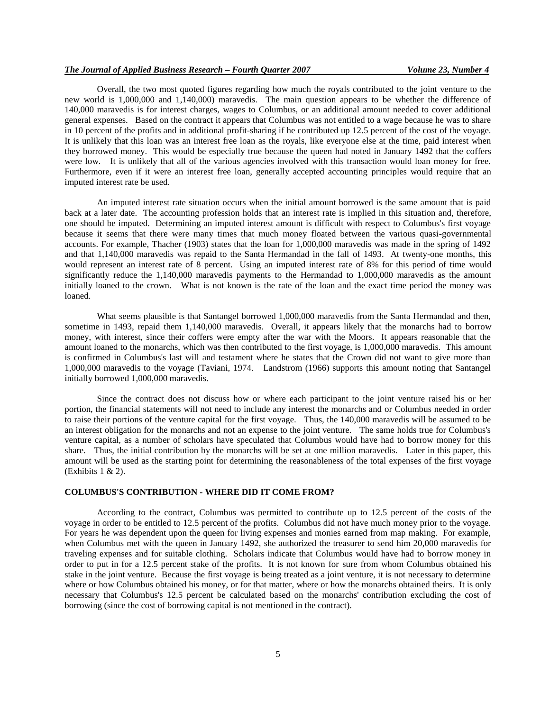Overall, the two most quoted figures regarding how much the royals contributed to the joint venture to the new world is 1,000,000 and 1,140,000) maravedis. The main question appears to be whether the difference of 140,000 maravedis is for interest charges, wages to Columbus, or an additional amount needed to cover additional general expenses. Based on the contract it appears that Columbus was not entitled to a wage because he was to share in 10 percent of the profits and in additional profit-sharing if he contributed up 12.5 percent of the cost of the voyage. It is unlikely that this loan was an interest free loan as the royals, like everyone else at the time, paid interest when they borrowed money. This would be especially true because the queen had noted in January 1492 that the coffers were low. It is unlikely that all of the various agencies involved with this transaction would loan money for free. Furthermore, even if it were an interest free loan, generally accepted accounting principles would require that an imputed interest rate be used.

An imputed interest rate situation occurs when the initial amount borrowed is the same amount that is paid back at a later date. The accounting profession holds that an interest rate is implied in this situation and, therefore, one should be imputed. Determining an imputed interest amount is difficult with respect to Columbus's first voyage because it seems that there were many times that much money floated between the various quasi-governmental accounts. For example, Thacher (1903) states that the loan for 1,000,000 maravedis was made in the spring of 1492 and that 1,140,000 maravedis was repaid to the Santa Hermandad in the fall of 1493. At twenty-one months, this would represent an interest rate of 8 percent. Using an imputed interest rate of 8% for this period of time would significantly reduce the 1,140,000 maravedis payments to the Hermandad to 1,000,000 maravedis as the amount initially loaned to the crown. What is not known is the rate of the loan and the exact time period the money was loaned.

What seems plausible is that Santangel borrowed 1,000,000 maravedis from the Santa Hermandad and then, sometime in 1493, repaid them 1,140,000 maravedis. Overall, it appears likely that the monarchs had to borrow money, with interest, since their coffers were empty after the war with the Moors. It appears reasonable that the amount loaned to the monarchs, which was then contributed to the first voyage, is 1,000,000 maravedis. This amount is confirmed in Columbus's last will and testament where he states that the Crown did not want to give more than 1,000,000 maravedis to the voyage (Taviani, 1974. Landstrom (1966) supports this amount noting that Santangel initially borrowed 1,000,000 maravedis.

Since the contract does not discuss how or where each participant to the joint venture raised his or her portion, the financial statements will not need to include any interest the monarchs and or Columbus needed in order to raise their portions of the venture capital for the first voyage. Thus, the 140,000 maravedis will be assumed to be an interest obligation for the monarchs and not an expense to the joint venture. The same holds true for Columbus's venture capital, as a number of scholars have speculated that Columbus would have had to borrow money for this share. Thus, the initial contribution by the monarchs will be set at one million maravedis. Later in this paper, this amount will be used as the starting point for determining the reasonableness of the total expenses of the first voyage  $(Exhibits 1 & 2).$ 

## **COLUMBUS'S CONTRIBUTION - WHERE DID IT COME FROM?**

According to the contract, Columbus was permitted to contribute up to 12.5 percent of the costs of the voyage in order to be entitled to 12.5 percent of the profits. Columbus did not have much money prior to the voyage. For years he was dependent upon the queen for living expenses and monies earned from map making. For example, when Columbus met with the queen in January 1492, she authorized the treasurer to send him 20,000 maravedis for traveling expenses and for suitable clothing. Scholars indicate that Columbus would have had to borrow money in order to put in for a 12.5 percent stake of the profits. It is not known for sure from whom Columbus obtained his stake in the joint venture. Because the first voyage is being treated as a joint venture, it is not necessary to determine where or how Columbus obtained his money, or for that matter, where or how the monarchs obtained theirs. It is only necessary that Columbus's 12.5 percent be calculated based on the monarchs' contribution excluding the cost of borrowing (since the cost of borrowing capital is not mentioned in the contract).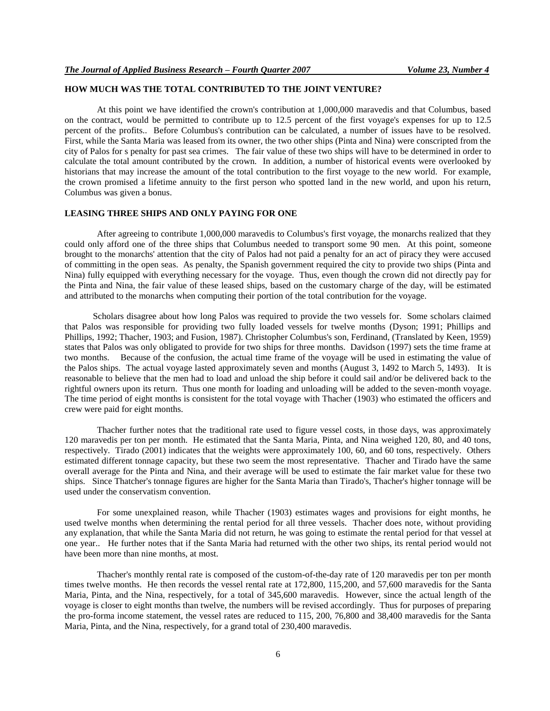# **HOW MUCH WAS THE TOTAL CONTRIBUTED TO THE JOINT VENTURE?**

At this point we have identified the crown's contribution at 1,000,000 maravedis and that Columbus, based on the contract, would be permitted to contribute up to 12.5 percent of the first voyage's expenses for up to 12.5 percent of the profits.. Before Columbus's contribution can be calculated, a number of issues have to be resolved. First, while the Santa Maria was leased from its owner, the two other ships (Pinta and Nina) were conscripted from the city of Palos for s penalty for past sea crimes. The fair value of these two ships will have to be determined in order to calculate the total amount contributed by the crown. In addition, a number of historical events were overlooked by historians that may increase the amount of the total contribution to the first voyage to the new world. For example, the crown promised a lifetime annuity to the first person who spotted land in the new world, and upon his return, Columbus was given a bonus.

# **LEASING THREE SHIPS AND ONLY PAYING FOR ONE**

After agreeing to contribute 1,000,000 maravedis to Columbus's first voyage, the monarchs realized that they could only afford one of the three ships that Columbus needed to transport some 90 men. At this point, someone brought to the monarchs' attention that the city of Palos had not paid a penalty for an act of piracy they were accused of committing in the open seas. As penalty, the Spanish government required the city to provide two ships (Pinta and Nina) fully equipped with everything necessary for the voyage. Thus, even though the crown did not directly pay for the Pinta and Nina, the fair value of these leased ships, based on the customary charge of the day, will be estimated and attributed to the monarchs when computing their portion of the total contribution for the voyage.

Scholars disagree about how long Palos was required to provide the two vessels for. Some scholars claimed that Palos was responsible for providing two fully loaded vessels for twelve months (Dyson; 1991; Phillips and Phillips, 1992; Thacher, 1903; and Fusion, 1987). Christopher Columbus's son, Ferdinand, (Translated by Keen, 1959) states that Palos was only obligated to provide for two ships for three months. Davidson (1997) sets the time frame at two months. Because of the confusion, the actual time frame of the voyage will be used in estimating the value of the Palos ships. The actual voyage lasted approximately seven and months (August 3, 1492 to March 5, 1493). It is reasonable to believe that the men had to load and unload the ship before it could sail and/or be delivered back to the rightful owners upon its return. Thus one month for loading and unloading will be added to the seven-month voyage. The time period of eight months is consistent for the total voyage with Thacher (1903) who estimated the officers and crew were paid for eight months.

Thacher further notes that the traditional rate used to figure vessel costs, in those days, was approximately 120 maravedis per ton per month. He estimated that the Santa Maria, Pinta, and Nina weighed 120, 80, and 40 tons, respectively. Tirado (2001) indicates that the weights were approximately 100, 60, and 60 tons, respectively. Others estimated different tonnage capacity, but these two seem the most representative. Thacher and Tirado have the same overall average for the Pinta and Nina, and their average will be used to estimate the fair market value for these two ships. Since Thatcher's tonnage figures are higher for the Santa Maria than Tirado's, Thacher's higher tonnage will be used under the conservatism convention.

For some unexplained reason, while Thacher (1903) estimates wages and provisions for eight months, he used twelve months when determining the rental period for all three vessels. Thacher does note, without providing any explanation, that while the Santa Maria did not return, he was going to estimate the rental period for that vessel at one year.. He further notes that if the Santa Maria had returned with the other two ships, its rental period would not have been more than nine months, at most.

Thacher's monthly rental rate is composed of the custom-of-the-day rate of 120 maravedis per ton per month times twelve months. He then records the vessel rental rate at 172,800, 115,200, and 57,600 maravedis for the Santa Maria, Pinta, and the Nina, respectively, for a total of 345,600 maravedis. However, since the actual length of the voyage is closer to eight months than twelve, the numbers will be revised accordingly. Thus for purposes of preparing the pro-forma income statement, the vessel rates are reduced to 115, 200, 76,800 and 38,400 maravedis for the Santa Maria, Pinta, and the Nina, respectively, for a grand total of 230,400 maravedis.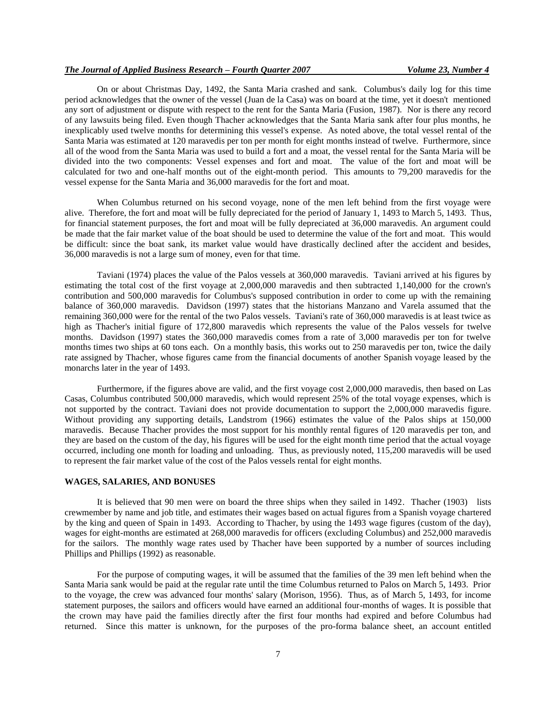On or about Christmas Day, 1492, the Santa Maria crashed and sank. Columbus's daily log for this time period acknowledges that the owner of the vessel (Juan de la Casa) was on board at the time, yet it doesn't mentioned any sort of adjustment or dispute with respect to the rent for the Santa Maria (Fusion, 1987). Nor is there any record of any lawsuits being filed. Even though Thacher acknowledges that the Santa Maria sank after four plus months, he inexplicably used twelve months for determining this vessel's expense. As noted above, the total vessel rental of the Santa Maria was estimated at 120 maravedis per ton per month for eight months instead of twelve. Furthermore, since all of the wood from the Santa Maria was used to build a fort and a moat, the vessel rental for the Santa Maria will be divided into the two components: Vessel expenses and fort and moat. The value of the fort and moat will be calculated for two and one-half months out of the eight-month period. This amounts to 79,200 maravedis for the vessel expense for the Santa Maria and 36,000 maravedis for the fort and moat.

When Columbus returned on his second voyage, none of the men left behind from the first voyage were alive. Therefore, the fort and moat will be fully depreciated for the period of January 1, 1493 to March 5, 1493. Thus, for financial statement purposes, the fort and moat will be fully depreciated at 36,000 maravedis. An argument could be made that the fair market value of the boat should be used to determine the value of the fort and moat. This would be difficult: since the boat sank, its market value would have drastically declined after the accident and besides, 36,000 maravedis is not a large sum of money, even for that time.

Taviani (1974) places the value of the Palos vessels at 360,000 maravedis. Taviani arrived at his figures by estimating the total cost of the first voyage at 2,000,000 maravedis and then subtracted 1,140,000 for the crown's contribution and 500,000 maravedis for Columbus's supposed contribution in order to come up with the remaining balance of 360,000 maravedis. Davidson (1997) states that the historians Manzano and Varela assumed that the remaining 360,000 were for the rental of the two Palos vessels. Taviani's rate of 360,000 maravedis is at least twice as high as Thacher's initial figure of 172,800 maravedis which represents the value of the Palos vessels for twelve months. Davidson (1997) states the 360,000 maravedis comes from a rate of 3,000 maravedis per ton for twelve months times two ships at 60 tons each. On a monthly basis, this works out to 250 maravedis per ton, twice the daily rate assigned by Thacher, whose figures came from the financial documents of another Spanish voyage leased by the monarchs later in the year of 1493.

Furthermore, if the figures above are valid, and the first voyage cost 2,000,000 maravedis, then based on Las Casas, Columbus contributed 500,000 maravedis, which would represent 25% of the total voyage expenses, which is not supported by the contract. Taviani does not provide documentation to support the 2,000,000 maravedis figure. Without providing any supporting details, Landstrom (1966) estimates the value of the Palos ships at 150,000 maravedis. Because Thacher provides the most support for his monthly rental figures of 120 maravedis per ton, and they are based on the custom of the day, his figures will be used for the eight month time period that the actual voyage occurred, including one month for loading and unloading. Thus, as previously noted, 115,200 maravedis will be used to represent the fair market value of the cost of the Palos vessels rental for eight months.

#### **WAGES, SALARIES, AND BONUSES**

It is believed that 90 men were on board the three ships when they sailed in 1492. Thacher (1903) lists crewmember by name and job title, and estimates their wages based on actual figures from a Spanish voyage chartered by the king and queen of Spain in 1493. According to Thacher, by using the 1493 wage figures (custom of the day), wages for eight-months are estimated at 268,000 maravedis for officers (excluding Columbus) and 252,000 maravedis for the sailors. The monthly wage rates used by Thacher have been supported by a number of sources including Phillips and Phillips (1992) as reasonable.

For the purpose of computing wages, it will be assumed that the families of the 39 men left behind when the Santa Maria sank would be paid at the regular rate until the time Columbus returned to Palos on March 5, 1493. Prior to the voyage, the crew was advanced four months' salary (Morison, 1956). Thus, as of March 5, 1493, for income statement purposes, the sailors and officers would have earned an additional four-months of wages. It is possible that the crown may have paid the families directly after the first four months had expired and before Columbus had returned. Since this matter is unknown, for the purposes of the pro-forma balance sheet, an account entitled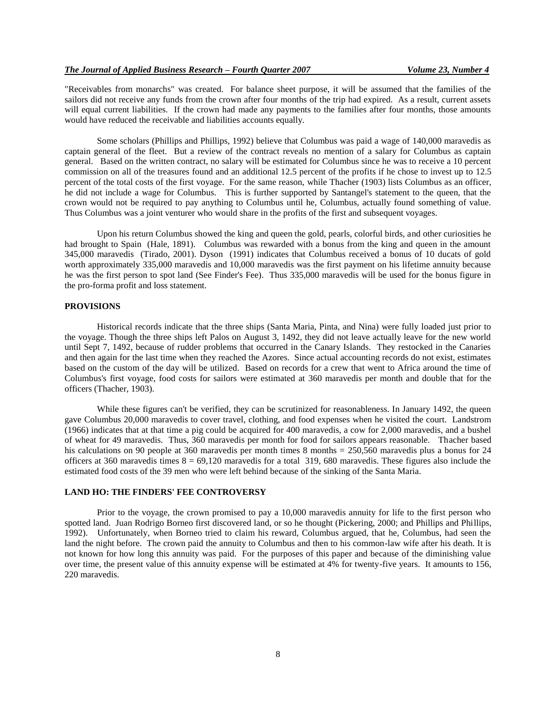"Receivables from monarchs" was created. For balance sheet purpose, it will be assumed that the families of the sailors did not receive any funds from the crown after four months of the trip had expired. As a result, current assets will equal current liabilities. If the crown had made any payments to the families after four months, those amounts would have reduced the receivable and liabilities accounts equally.

Some scholars (Phillips and Phillips, 1992) believe that Columbus was paid a wage of 140,000 maravedis as captain general of the fleet. But a review of the contract reveals no mention of a salary for Columbus as captain general. Based on the written contract, no salary will be estimated for Columbus since he was to receive a 10 percent commission on all of the treasures found and an additional 12.5 percent of the profits if he chose to invest up to 12.5 percent of the total costs of the first voyage. For the same reason, while Thacher (1903) lists Columbus as an officer, he did not include a wage for Columbus. This is further supported by Santangel's statement to the queen, that the crown would not be required to pay anything to Columbus until he, Columbus, actually found something of value. Thus Columbus was a joint venturer who would share in the profits of the first and subsequent voyages.

Upon his return Columbus showed the king and queen the gold, pearls, colorful birds, and other curiosities he had brought to Spain (Hale, 1891). Columbus was rewarded with a bonus from the king and queen in the amount 345,000 maravedis (Tirado, 2001). Dyson (1991) indicates that Columbus received a bonus of 10 ducats of gold worth approximately 335,000 maravedis and 10,000 maravedis was the first payment on his lifetime annuity because he was the first person to spot land (See Finder's Fee). Thus 335,000 maravedis will be used for the bonus figure in the pro-forma profit and loss statement.

# **PROVISIONS**

Historical records indicate that the three ships (Santa Maria, Pinta, and Nina) were fully loaded just prior to the voyage. Though the three ships left Palos on August 3, 1492, they did not leave actually leave for the new world until Sept 7, 1492, because of rudder problems that occurred in the Canary Islands. They restocked in the Canaries and then again for the last time when they reached the Azores. Since actual accounting records do not exist, estimates based on the custom of the day will be utilized. Based on records for a crew that went to Africa around the time of Columbus's first voyage, food costs for sailors were estimated at 360 maravedis per month and double that for the officers (Thacher, 1903).

While these figures can't be verified, they can be scrutinized for reasonableness. In January 1492, the queen gave Columbus 20,000 maravedis to cover travel, clothing, and food expenses when he visited the court. Landstrom (1966) indicates that at that time a pig could be acquired for 400 maravedis, a cow for 2,000 maravedis, and a bushel of wheat for 49 maravedis. Thus, 360 maravedis per month for food for sailors appears reasonable. Thacher based his calculations on 90 people at 360 maravedis per month times 8 months = 250,560 maravedis plus a bonus for 24 officers at 360 maravedis times  $8 = 69,120$  maravedis for a total 319, 680 maravedis. These figures also include the estimated food costs of the 39 men who were left behind because of the sinking of the Santa Maria.

## **LAND HO: THE FINDERS' FEE CONTROVERSY**

Prior to the voyage, the crown promised to pay a 10,000 maravedis annuity for life to the first person who spotted land. Juan Rodrigo Borneo first discovered land, or so he thought (Pickering, 2000; and Phillips and Phillips, 1992). Unfortunately, when Borneo tried to claim his reward, Columbus argued, that he, Columbus, had seen the land the night before. The crown paid the annuity to Columbus and then to his common-law wife after his death. It is not known for how long this annuity was paid. For the purposes of this paper and because of the diminishing value over time, the present value of this annuity expense will be estimated at 4% for twenty-five years. It amounts to 156, 220 maravedis.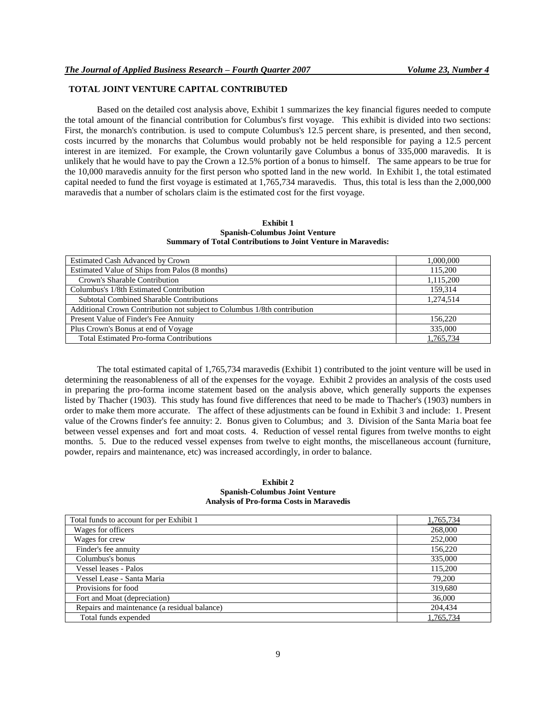# **TOTAL JOINT VENTURE CAPITAL CONTRIBUTED**

Based on the detailed cost analysis above, Exhibit 1 summarizes the key financial figures needed to compute the total amount of the financial contribution for Columbus's first voyage. This exhibit is divided into two sections: First, the monarch's contribution. is used to compute Columbus's 12.5 percent share, is presented, and then second, costs incurred by the monarchs that Columbus would probably not be held responsible for paying a 12.5 percent interest in are itemized. For example, the Crown voluntarily gave Columbus a bonus of 335,000 maravedis. It is unlikely that he would have to pay the Crown a 12.5% portion of a bonus to himself. The same appears to be true for the 10,000 maravedis annuity for the first person who spotted land in the new world. In Exhibit 1, the total estimated capital needed to fund the first voyage is estimated at 1,765,734 maravedis. Thus, this total is less than the 2,000,000 maravedis that a number of scholars claim is the estimated cost for the first voyage.

**Exhibit 1 Spanish-Columbus Joint Venture Summary of Total Contributions to Joint Venture in Maravedis:**

| Estimated Cash Advanced by Crown                                         | 1,000,000 |
|--------------------------------------------------------------------------|-----------|
| Estimated Value of Ships from Palos (8 months)                           | 115,200   |
| Crown's Sharable Contribution                                            | 1,115,200 |
| Columbus's 1/8th Estimated Contribution                                  | 159,314   |
| <b>Subtotal Combined Sharable Contributions</b>                          | 1,274,514 |
| Additional Crown Contribution not subject to Columbus 1/8th contribution |           |
| Present Value of Finder's Fee Annuity                                    | 156.220   |
| Plus Crown's Bonus at end of Voyage                                      | 335,000   |
| <b>Total Estimated Pro-forma Contributions</b>                           | 1,765,734 |

The total estimated capital of 1,765,734 maravedis (Exhibit 1) contributed to the joint venture will be used in determining the reasonableness of all of the expenses for the voyage. Exhibit 2 provides an analysis of the costs used in preparing the pro-forma income statement based on the analysis above, which generally supports the expenses listed by Thacher (1903). This study has found five differences that need to be made to Thacher's (1903) numbers in order to make them more accurate. The affect of these adjustments can be found in Exhibit 3 and include: 1. Present value of the Crowns finder's fee annuity: 2. Bonus given to Columbus; and 3. Division of the Santa Maria boat fee between vessel expenses and fort and moat costs. 4. Reduction of vessel rental figures from twelve months to eight months. 5. Due to the reduced vessel expenses from twelve to eight months, the miscellaneous account (furniture, powder, repairs and maintenance, etc) was increased accordingly, in order to balance.

#### **Exhibit 2 Spanish-Columbus Joint Venture Analysis of Pro-forma Costs in Maravedis**

| Total funds to account for per Exhibit 1     | 1,765,734 |
|----------------------------------------------|-----------|
| Wages for officers                           | 268,000   |
| Wages for crew                               | 252,000   |
| Finder's fee annuity                         | 156,220   |
| Columbus's bonus                             | 335,000   |
| Vessel leases - Palos                        | 115,200   |
| Vessel Lease - Santa Maria                   | 79,200    |
| Provisions for food                          | 319,680   |
| Fort and Moat (depreciation)                 | 36,000    |
| Repairs and maintenance (a residual balance) | 204,434   |
| Total funds expended                         | 1,765,734 |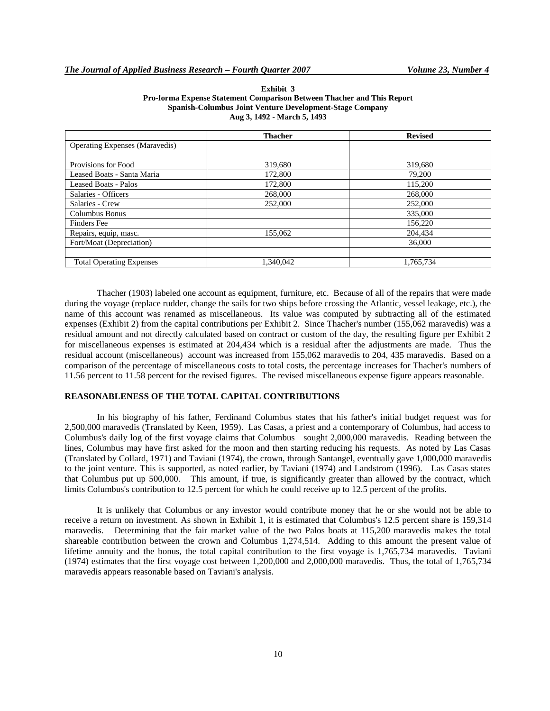|                                       | <b>Thacher</b> | <b>Revised</b> |
|---------------------------------------|----------------|----------------|
| <b>Operating Expenses (Maravedis)</b> |                |                |
|                                       |                |                |
| Provisions for Food                   | 319,680        | 319,680        |
| Leased Boats - Santa Maria            | 172,800        | 79,200         |
| Leased Boats - Palos                  | 172,800        | 115,200        |
| Salaries - Officers                   | 268,000        | 268,000        |
| Salaries - Crew                       | 252,000        | 252,000        |
| Columbus Bonus                        |                | 335,000        |
| <b>Finders</b> Fee                    |                | 156,220        |
| Repairs, equip, masc.                 | 155,062        | 204,434        |
| Fort/Moat (Depreciation)              |                | 36,000         |
|                                       |                |                |
| <b>Total Operating Expenses</b>       | 1.340.042      | 1,765,734      |

## **Exhibit 3 Pro-forma Expense Statement Comparison Between Thacher and This Report Spanish-Columbus Joint Venture Development-Stage Company Aug 3, 1492 - March 5, 1493**

Thacher (1903) labeled one account as equipment, furniture, etc. Because of all of the repairs that were made during the voyage (replace rudder, change the sails for two ships before crossing the Atlantic, vessel leakage, etc.), the name of this account was renamed as miscellaneous. Its value was computed by subtracting all of the estimated expenses (Exhibit 2) from the capital contributions per Exhibit 2. Since Thacher's number (155,062 maravedis) was a residual amount and not directly calculated based on contract or custom of the day, the resulting figure per Exhibit 2 for miscellaneous expenses is estimated at 204,434 which is a residual after the adjustments are made. Thus the residual account (miscellaneous) account was increased from 155,062 maravedis to 204, 435 maravedis. Based on a comparison of the percentage of miscellaneous costs to total costs, the percentage increases for Thacher's numbers of 11.56 percent to 11.58 percent for the revised figures. The revised miscellaneous expense figure appears reasonable.

# **REASONABLENESS OF THE TOTAL CAPITAL CONTRIBUTIONS**

In his biography of his father, Ferdinand Columbus states that his father's initial budget request was for 2,500,000 maravedis (Translated by Keen, 1959). Las Casas, a priest and a contemporary of Columbus, had access to Columbus's daily log of the first voyage claims that Columbus sought 2,000,000 maravedis. Reading between the lines, Columbus may have first asked for the moon and then starting reducing his requests. As noted by Las Casas (Translated by Collard, 1971) and Taviani (1974), the crown, through Santangel, eventually gave 1,000,000 maravedis to the joint venture. This is supported, as noted earlier, by Taviani (1974) and Landstrom (1996). Las Casas states that Columbus put up 500,000. This amount, if true, is significantly greater than allowed by the contract, which limits Columbus's contribution to 12.5 percent for which he could receive up to 12.5 percent of the profits.

It is unlikely that Columbus or any investor would contribute money that he or she would not be able to receive a return on investment. As shown in Exhibit 1, it is estimated that Columbus's 12.5 percent share is 159,314 maravedis. Determining that the fair market value of the two Palos boats at 115,200 maravedis makes the total shareable contribution between the crown and Columbus 1,274,514. Adding to this amount the present value of lifetime annuity and the bonus, the total capital contribution to the first voyage is 1,765,734 maravedis. Taviani (1974) estimates that the first voyage cost between 1,200,000 and 2,000,000 maravedis. Thus, the total of 1,765,734 maravedis appears reasonable based on Taviani's analysis.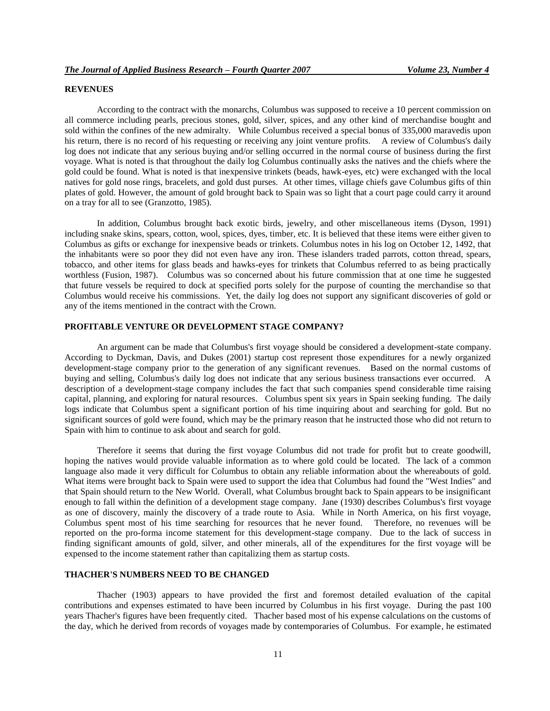# **REVENUES**

According to the contract with the monarchs, Columbus was supposed to receive a 10 percent commission on all commerce including pearls, precious stones, gold, silver, spices, and any other kind of merchandise bought and sold within the confines of the new admiralty. While Columbus received a special bonus of 335,000 maravedis upon his return, there is no record of his requesting or receiving any joint venture profits. A review of Columbus's daily log does not indicate that any serious buying and/or selling occurred in the normal course of business during the first voyage. What is noted is that throughout the daily log Columbus continually asks the natives and the chiefs where the gold could be found. What is noted is that inexpensive trinkets (beads, hawk-eyes, etc) were exchanged with the local natives for gold nose rings, bracelets, and gold dust purses. At other times, village chiefs gave Columbus gifts of thin plates of gold. However, the amount of gold brought back to Spain was so light that a court page could carry it around on a tray for all to see (Granzotto, 1985).

In addition, Columbus brought back exotic birds, jewelry, and other miscellaneous items (Dyson, 1991) including snake skins, spears, cotton, wool, spices, dyes, timber, etc. It is believed that these items were either given to Columbus as gifts or exchange for inexpensive beads or trinkets. Columbus notes in his log on October 12, 1492, that the inhabitants were so poor they did not even have any iron. These islanders traded parrots, cotton thread, spears, tobacco, and other items for glass beads and hawks-eyes for trinkets that Columbus referred to as being practically worthless (Fusion, 1987). Columbus was so concerned about his future commission that at one time he suggested that future vessels be required to dock at specified ports solely for the purpose of counting the merchandise so that Columbus would receive his commissions. Yet, the daily log does not support any significant discoveries of gold or any of the items mentioned in the contract with the Crown.

#### **PROFITABLE VENTURE OR DEVELOPMENT STAGE COMPANY?**

An argument can be made that Columbus's first voyage should be considered a development-state company. According to Dyckman, Davis, and Dukes (2001) startup cost represent those expenditures for a newly organized development-stage company prior to the generation of any significant revenues. Based on the normal customs of buying and selling, Columbus's daily log does not indicate that any serious business transactions ever occurred. A description of a development-stage company includes the fact that such companies spend considerable time raising capital, planning, and exploring for natural resources. Columbus spent six years in Spain seeking funding. The daily logs indicate that Columbus spent a significant portion of his time inquiring about and searching for gold. But no significant sources of gold were found, which may be the primary reason that he instructed those who did not return to Spain with him to continue to ask about and search for gold.

Therefore it seems that during the first voyage Columbus did not trade for profit but to create goodwill, hoping the natives would provide valuable information as to where gold could be located. The lack of a common language also made it very difficult for Columbus to obtain any reliable information about the whereabouts of gold. What items were brought back to Spain were used to support the idea that Columbus had found the "West Indies" and that Spain should return to the New World. Overall, what Columbus brought back to Spain appears to be insignificant enough to fall within the definition of a development stage company. Jane (1930) describes Columbus's first voyage as one of discovery, mainly the discovery of a trade route to Asia. While in North America, on his first voyage, Columbus spent most of his time searching for resources that he never found. Therefore, no revenues will be reported on the pro-forma income statement for this development-stage company. Due to the lack of success in finding significant amounts of gold, silver, and other minerals, all of the expenditures for the first voyage will be expensed to the income statement rather than capitalizing them as startup costs.

# **THACHER'S NUMBERS NEED TO BE CHANGED**

Thacher (1903) appears to have provided the first and foremost detailed evaluation of the capital contributions and expenses estimated to have been incurred by Columbus in his first voyage. During the past 100 years Thacher's figures have been frequently cited. Thacher based most of his expense calculations on the customs of the day, which he derived from records of voyages made by contemporaries of Columbus. For example, he estimated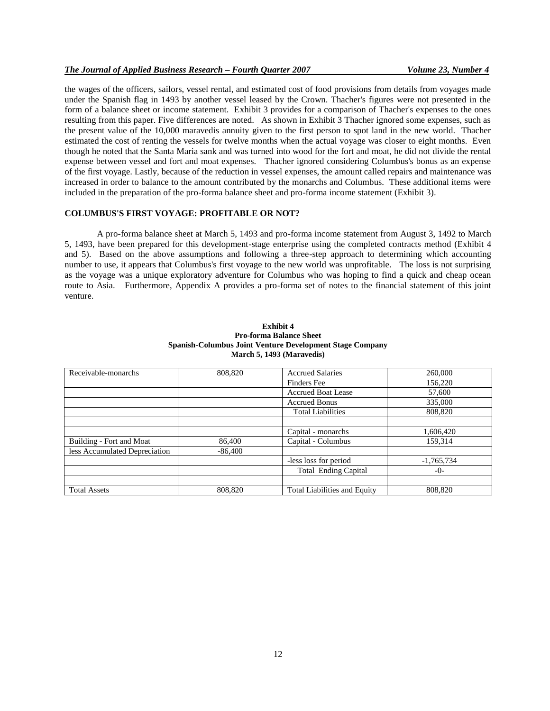the wages of the officers, sailors, vessel rental, and estimated cost of food provisions from details from voyages made under the Spanish flag in 1493 by another vessel leased by the Crown. Thacher's figures were not presented in the form of a balance sheet or income statement. Exhibit 3 provides for a comparison of Thacher's expenses to the ones resulting from this paper. Five differences are noted. As shown in Exhibit 3 Thacher ignored some expenses, such as the present value of the 10,000 maravedis annuity given to the first person to spot land in the new world. Thacher estimated the cost of renting the vessels for twelve months when the actual voyage was closer to eight months. Even though he noted that the Santa Maria sank and was turned into wood for the fort and moat, he did not divide the rental expense between vessel and fort and moat expenses. Thacher ignored considering Columbus's bonus as an expense of the first voyage. Lastly, because of the reduction in vessel expenses, the amount called repairs and maintenance was increased in order to balance to the amount contributed by the monarchs and Columbus. These additional items were included in the preparation of the pro-forma balance sheet and pro-forma income statement (Exhibit 3).

## **COLUMBUS'S FIRST VOYAGE: PROFITABLE OR NOT?**

A pro-forma balance sheet at March 5, 1493 and pro-forma income statement from August 3, 1492 to March 5, 1493, have been prepared for this development-stage enterprise using the completed contracts method (Exhibit 4 and 5). Based on the above assumptions and following a three-step approach to determining which accounting number to use, it appears that Columbus's first voyage to the new world was unprofitable. The loss is not surprising as the voyage was a unique exploratory adventure for Columbus who was hoping to find a quick and cheap ocean route to Asia. Furthermore, Appendix A provides a pro-forma set of notes to the financial statement of this joint venture.

| Receivable-monarchs           | 808,820   | <b>Accrued Salaries</b>             | 260,000      |
|-------------------------------|-----------|-------------------------------------|--------------|
|                               |           | <b>Finders</b> Fee                  | 156,220      |
|                               |           | <b>Accrued Boat Lease</b>           | 57,600       |
|                               |           | <b>Accrued Bonus</b>                | 335,000      |
|                               |           | <b>Total Liabilities</b>            | 808,820      |
|                               |           |                                     |              |
|                               |           | Capital - monarchs                  | 1,606,420    |
| Building - Fort and Moat      | 86,400    | Capital - Columbus                  | 159,314      |
| less Accumulated Depreciation | $-86,400$ |                                     |              |
|                               |           | -less loss for period               | $-1,765,734$ |
|                               |           | <b>Total Ending Capital</b>         | $-0-$        |
|                               |           |                                     |              |
| <b>Total Assets</b>           | 808,820   | <b>Total Liabilities and Equity</b> | 808,820      |

**Exhibit 4 Pro-forma Balance Sheet Spanish-Columbus Joint Venture Development Stage Company March 5, 1493 (Maravedis)**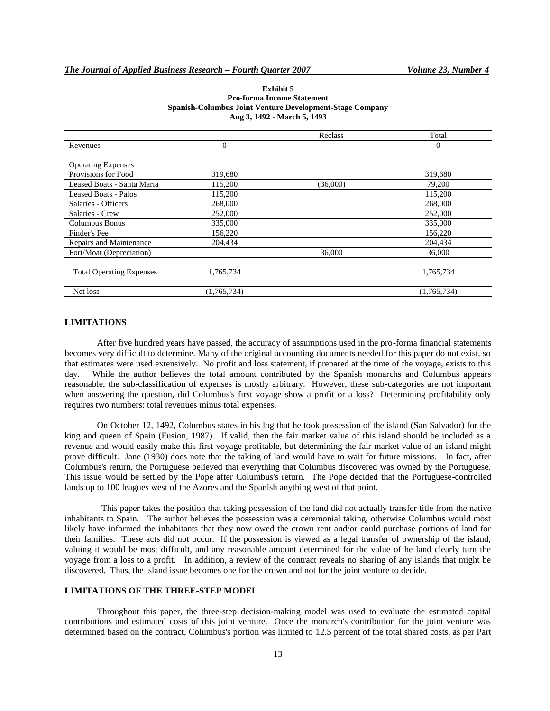|                                 |             | Reclass  | Total       |
|---------------------------------|-------------|----------|-------------|
| Revenues                        | -0-         |          | $-0-$       |
|                                 |             |          |             |
| <b>Operating Expenses</b>       |             |          |             |
| Provisions for Food             | 319,680     |          | 319,680     |
| Leased Boats - Santa Maria      | 115,200     | (36,000) | 79,200      |
| Leased Boats - Palos            | 115,200     |          | 115,200     |
| Salaries - Officers             | 268,000     |          | 268,000     |
| Salaries - Crew                 | 252,000     |          | 252,000     |
| Columbus Bonus                  | 335,000     |          | 335,000     |
| Finder's Fee                    | 156,220     |          | 156,220     |
| Repairs and Maintenance         | 204,434     |          | 204,434     |
| Fort/Moat (Depreciation)        |             | 36,000   | 36,000      |
|                                 |             |          |             |
| <b>Total Operating Expenses</b> | 1,765,734   |          | 1,765,734   |
|                                 |             |          |             |
| Net loss                        | (1,765,734) |          | (1,765,734) |

#### **Exhibit 5 Pro-forma Income Statement Spanish-Columbus Joint Venture Development-Stage Company Aug 3, 1492 - March 5, 1493**

#### **LIMITATIONS**

After five hundred years have passed, the accuracy of assumptions used in the pro-forma financial statements becomes very difficult to determine. Many of the original accounting documents needed for this paper do not exist, so that estimates were used extensively. No profit and loss statement, if prepared at the time of the voyage, exists to this day. While the author believes the total amount contributed by the Spanish monarchs and Columbus appears reasonable, the sub-classification of expenses is mostly arbitrary. However, these sub-categories are not important when answering the question, did Columbus's first voyage show a profit or a loss? Determining profitability only requires two numbers: total revenues minus total expenses.

On October 12, 1492, Columbus states in his log that he took possession of the island (San Salvador) for the king and queen of Spain (Fusion, 1987). If valid, then the fair market value of this island should be included as a revenue and would easily make this first voyage profitable, but determining the fair market value of an island might prove difficult. Jane (1930) does note that the taking of land would have to wait for future missions. In fact, after Columbus's return, the Portuguese believed that everything that Columbus discovered was owned by the Portuguese. This issue would be settled by the Pope after Columbus's return. The Pope decided that the Portuguese-controlled lands up to 100 leagues west of the Azores and the Spanish anything west of that point.

 This paper takes the position that taking possession of the land did not actually transfer title from the native inhabitants to Spain. The author believes the possession was a ceremonial taking, otherwise Columbus would most likely have informed the inhabitants that they now owed the crown rent and/or could purchase portions of land for their families. These acts did not occur. If the possession is viewed as a legal transfer of ownership of the island, valuing it would be most difficult, and any reasonable amount determined for the value of he land clearly turn the voyage from a loss to a profit. In addition, a review of the contract reveals no sharing of any islands that might be discovered. Thus, the island issue becomes one for the crown and not for the joint venture to decide.

## **LIMITATIONS OF THE THREE-STEP MODEL**

Throughout this paper, the three-step decision-making model was used to evaluate the estimated capital contributions and estimated costs of this joint venture. Once the monarch's contribution for the joint venture was determined based on the contract, Columbus's portion was limited to 12.5 percent of the total shared costs, as per Part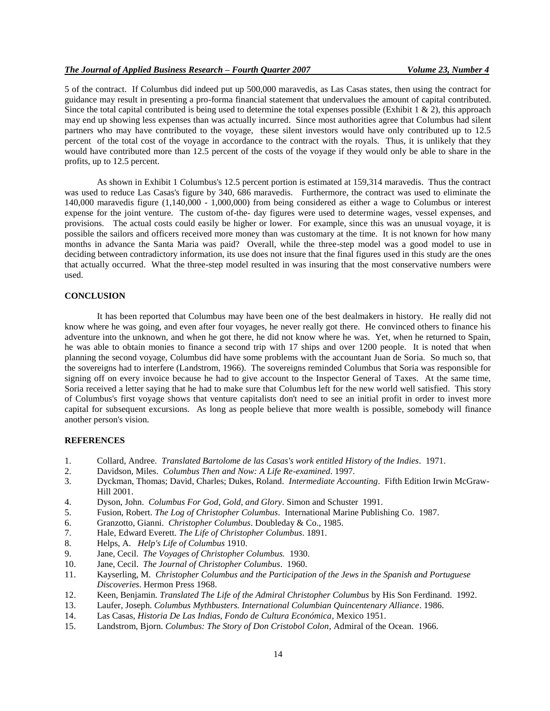5 of the contract. If Columbus did indeed put up 500,000 maravedis, as Las Casas states, then using the contract for guidance may result in presenting a pro-forma financial statement that undervalues the amount of capital contributed. Since the total capital contributed is being used to determine the total expenses possible (Exhibit 1  $\&$  2), this approach may end up showing less expenses than was actually incurred. Since most authorities agree that Columbus had silent partners who may have contributed to the voyage, these silent investors would have only contributed up to 12.5 percent of the total cost of the voyage in accordance to the contract with the royals. Thus, it is unlikely that they would have contributed more than 12.5 percent of the costs of the voyage if they would only be able to share in the profits, up to 12.5 percent.

As shown in Exhibit 1 Columbus's 12.5 percent portion is estimated at 159,314 maravedis. Thus the contract was used to reduce Las Casas's figure by 340, 686 maravedis. Furthermore, the contract was used to eliminate the 140,000 maravedis figure (1,140,000 - 1,000,000) from being considered as either a wage to Columbus or interest expense for the joint venture. The custom of-the- day figures were used to determine wages, vessel expenses, and provisions. The actual costs could easily be higher or lower. For example, since this was an unusual voyage, it is possible the sailors and officers received more money than was customary at the time. It is not known for how many months in advance the Santa Maria was paid? Overall, while the three-step model was a good model to use in deciding between contradictory information, its use does not insure that the final figures used in this study are the ones that actually occurred. What the three-step model resulted in was insuring that the most conservative numbers were used.

## **CONCLUSION**

It has been reported that Columbus may have been one of the best dealmakers in history. He really did not know where he was going, and even after four voyages, he never really got there. He convinced others to finance his adventure into the unknown, and when he got there, he did not know where he was. Yet, when he returned to Spain, he was able to obtain monies to finance a second trip with 17 ships and over 1200 people. It is noted that when planning the second voyage, Columbus did have some problems with the accountant Juan de Soria. So much so, that the sovereigns had to interfere (Landstrom, 1966). The sovereigns reminded Columbus that Soria was responsible for signing off on every invoice because he had to give account to the Inspector General of Taxes. At the same time, Soria received a letter saying that he had to make sure that Columbus left for the new world well satisfied. This story of Columbus's first voyage shows that venture capitalists don't need to see an initial profit in order to invest more capital for subsequent excursions. As long as people believe that more wealth is possible, somebody will finance another person's vision.

## **REFERENCES**

- 1. Collard, Andree. *Translated Bartolome de las Casas's work entitled History of the Indies*. 1971.
- 2. Davidson, Miles. *Columbus Then and Now: A Life Re-examined*. 1997.
- 3. Dyckman, Thomas; David, Charles; Dukes, Roland. *Intermediate Accounting*. Fifth Edition Irwin McGraw-Hill 2001.
- 4. Dyson, John. *Columbus For God, Gold, and Glory*. Simon and Schuster 1991.
- 5. Fusion, Robert. *The Log of Christopher Columbus*. International Marine Publishing Co. 1987.
- 6. Granzotto, Gianni. *Christopher Columbus*. Doubleday & Co., 1985.
- 7. Hale, Edward Everett. *The Life of Christopher Columbus*. 1891.
- 8. Helps, A. *Help's Life of Columbus* 1910.
- 9. Jane, Cecil. *The Voyages of Christopher Columbus.* 1930.
- 10. Jane, Cecil. *The Journal of Christopher Columbus*. 1960.
- 11. Kayserling, M*. Christopher Columbus and the Participation of the Jews in the Spanish and Portuguese Discoveries*. Hermon Press 1968.
- 12. Keen, Benjamin. *Translated The Life of the Admiral Christopher Columbus* by His Son Ferdinand. 1992.
- 13. Laufer, Joseph. *Columbus Mythbusters. International Columbian Quincentenary Alliance*. 1986.
- 14. Las Casas, *Historia De Las Indias, Fondo de Cultura Económica*, Mexico 1951.
- 15. Landstrom, Bjorn. *Columbus: The Story of Don Cristobol Colon*, Admiral of the Ocean. 1966.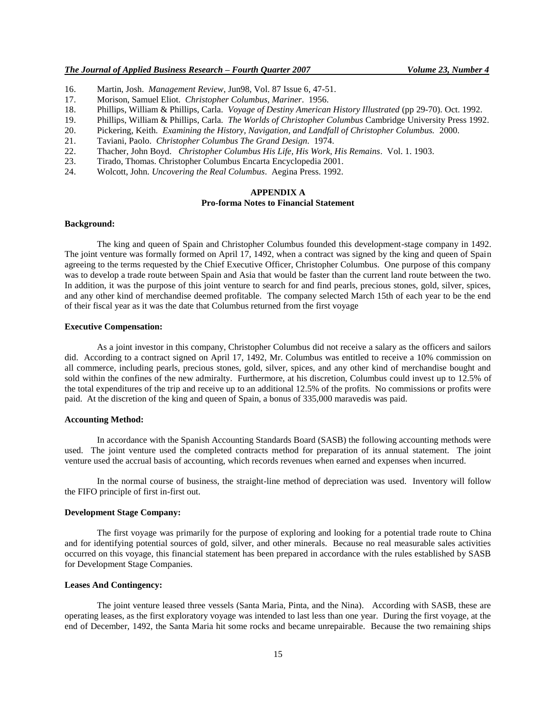## *The Journal of Applied Business Research – Fourth Quarter 2007 Volume 23, Number 4*

- 16. Martin, Josh. *Management Review*, Jun98, Vol. 87 Issue 6, 47-51.
- 17. Morison, Samuel Eliot. *Christopher Columbus, Mariner*. 1956.
- 18. Phillips, William & Phillips, Carla. *Voyage of Destiny American History Illustrated* (pp 29-70). Oct. 1992.
- 19. Phillips, William & Phillips, Carla. *The Worlds of Christopher Columbus* Cambridge University Press 1992.
- 20. Pickering, Keith. *Examining the History, Navigation, and Landfall of Christopher Columbus.* 2000.
- 21. Taviani, Paolo. *Christopher Columbus The Grand Design.* 1974.
- 22. Thacher, John Boyd. *Christopher Columbus His Life, His Work, His Remains*. Vol. 1. 1903.
- 23. Tirado, Thomas. Christopher Columbus Encarta Encyclopedia 2001.
- 24. Wolcott, John. *Uncovering the Real Columbus*. Aegina Press. 1992.

# **APPENDIX A Pro-forma Notes to Financial Statement**

## **Background:**

The king and queen of Spain and Christopher Columbus founded this development-stage company in 1492. The joint venture was formally formed on April 17, 1492, when a contract was signed by the king and queen of Spain agreeing to the terms requested by the Chief Executive Officer, Christopher Columbus. One purpose of this company was to develop a trade route between Spain and Asia that would be faster than the current land route between the two. In addition, it was the purpose of this joint venture to search for and find pearls, precious stones, gold, silver, spices, and any other kind of merchandise deemed profitable. The company selected March 15th of each year to be the end of their fiscal year as it was the date that Columbus returned from the first voyage

#### **Executive Compensation:**

As a joint investor in this company, Christopher Columbus did not receive a salary as the officers and sailors did. According to a contract signed on April 17, 1492, Mr. Columbus was entitled to receive a 10% commission on all commerce, including pearls, precious stones, gold, silver, spices, and any other kind of merchandise bought and sold within the confines of the new admiralty. Furthermore, at his discretion, Columbus could invest up to 12.5% of the total expenditures of the trip and receive up to an additional 12.5% of the profits. No commissions or profits were paid. At the discretion of the king and queen of Spain, a bonus of 335,000 maravedis was paid.

# **Accounting Method:**

In accordance with the Spanish Accounting Standards Board (SASB) the following accounting methods were used. The joint venture used the completed contracts method for preparation of its annual statement. The joint venture used the accrual basis of accounting, which records revenues when earned and expenses when incurred.

In the normal course of business, the straight-line method of depreciation was used. Inventory will follow the FIFO principle of first in-first out.

## **Development Stage Company:**

The first voyage was primarily for the purpose of exploring and looking for a potential trade route to China and for identifying potential sources of gold, silver, and other minerals. Because no real measurable sales activities occurred on this voyage, this financial statement has been prepared in accordance with the rules established by SASB for Development Stage Companies.

#### **Leases And Contingency:**

The joint venture leased three vessels (Santa Maria, Pinta, and the Nina). According with SASB, these are operating leases, as the first exploratory voyage was intended to last less than one year. During the first voyage, at the end of December, 1492, the Santa Maria hit some rocks and became unrepairable. Because the two remaining ships